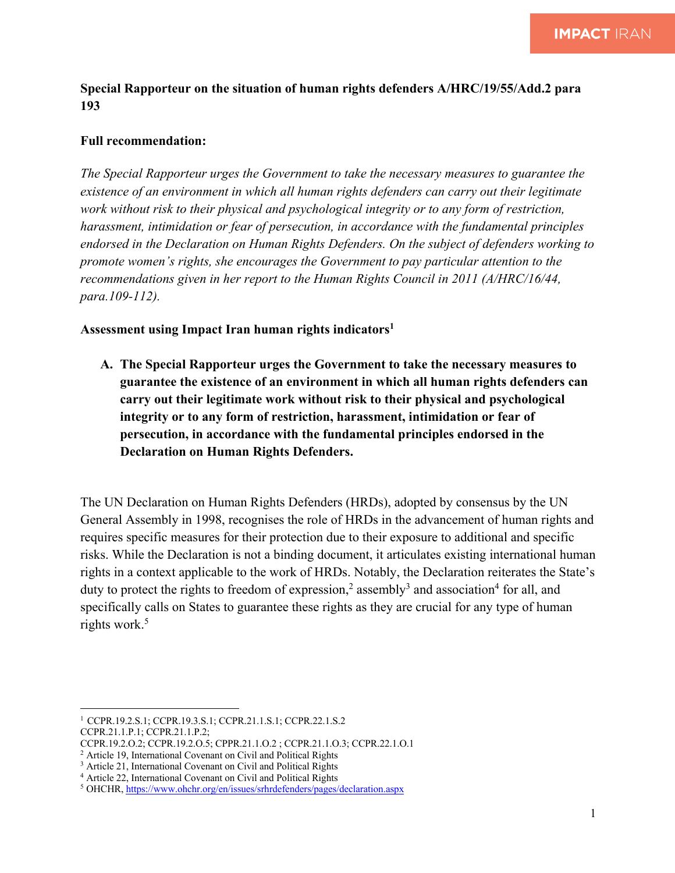**Special Rapporteur on the situation of human rights defenders A/HRC/19/55/Add.2 para 193**

## **Full recommendation:**

*The Special Rapporteur urges the Government to take the necessary measures to guarantee the existence of an environment in which all human rights defenders can carry out their legitimate work without risk to their physical and psychological integrity or to any form of restriction, harassment, intimidation or fear of persecution, in accordance with the fundamental principles endorsed in the Declaration on Human Rights Defenders. On the subject of defenders working to promote women's rights, she encourages the Government to pay particular attention to the recommendations given in her report to the Human Rights Council in 2011 (A/HRC/16/44, para.109-112).* 

## **Assessment using Impact Iran human rights indicators1**

**A. The Special Rapporteur urges the Government to take the necessary measures to guarantee the existence of an environment in which all human rights defenders can carry out their legitimate work without risk to their physical and psychological integrity or to any form of restriction, harassment, intimidation or fear of persecution, in accordance with the fundamental principles endorsed in the Declaration on Human Rights Defenders.**

The UN Declaration on Human Rights Defenders (HRDs), adopted by consensus by the UN General Assembly in 1998, recognises the role of HRDs in the advancement of human rights and requires specific measures for their protection due to their exposure to additional and specific risks. While the Declaration is not a binding document, it articulates existing international human rights in a context applicable to the work of HRDs. Notably, the Declaration reiterates the State's duty to protect the rights to freedom of expression,<sup>2</sup> assembly<sup>3</sup> and association<sup>4</sup> for all, and specifically calls on States to guarantee these rights as they are crucial for any type of human rights work.<sup>5</sup>

<sup>1</sup> CCPR.19.2.S.1; CCPR.19.3.S.1; CCPR.21.1.S.1; CCPR.22.1.S.2 CCPR.21.1.P.1; CCPR.21.1.P.2;

CCPR.19.2.O.2; CCPR.19.2.O.5; CPPR.21.1.O.2 ; CCPR.21.1.O.3; CCPR.22.1.O.1

<sup>2</sup> Article 19, International Covenant on Civil and Political Rights

<sup>3</sup> Article 21, International Covenant on Civil and Political Rights

<sup>4</sup> Article 22, International Covenant on Civil and Political Rights

<sup>5</sup> OHCHR, https://www.ohchr.org/en/issues/srhrdefenders/pages/declaration.aspx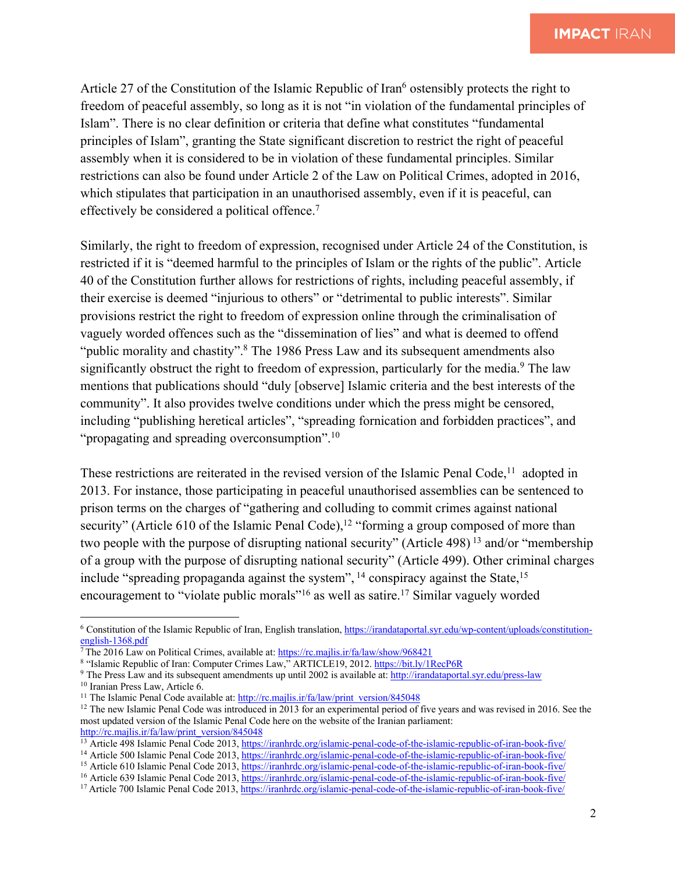Article 27 of the Constitution of the Islamic Republic of Iran<sup>6</sup> ostensibly protects the right to freedom of peaceful assembly, so long as it is not "in violation of the fundamental principles of Islam". There is no clear definition or criteria that define what constitutes "fundamental principles of Islam", granting the State significant discretion to restrict the right of peaceful assembly when it is considered to be in violation of these fundamental principles. Similar restrictions can also be found under Article 2 of the Law on Political Crimes, adopted in 2016, which stipulates that participation in an unauthorised assembly, even if it is peaceful, can effectively be considered a political offence.7

Similarly, the right to freedom of expression, recognised under Article 24 of the Constitution, is restricted if it is "deemed harmful to the principles of Islam or the rights of the public". Article 40 of the Constitution further allows for restrictions of rights, including peaceful assembly, if their exercise is deemed "injurious to others" or "detrimental to public interests". Similar provisions restrict the right to freedom of expression online through the criminalisation of vaguely worded offences such as the "dissemination of lies" and what is deemed to offend "public morality and chastity".<sup>8</sup> The 1986 Press Law and its subsequent amendments also significantly obstruct the right to freedom of expression, particularly for the media.<sup>9</sup> The law mentions that publications should "duly [observe] Islamic criteria and the best interests of the community". It also provides twelve conditions under which the press might be censored, including "publishing heretical articles", "spreading fornication and forbidden practices", and "propagating and spreading overconsumption".<sup>10</sup>

These restrictions are reiterated in the revised version of the Islamic Penal Code,<sup>11</sup> adopted in 2013. For instance, those participating in peaceful unauthorised assemblies can be sentenced to prison terms on the charges of "gathering and colluding to commit crimes against national security" (Article 610 of the Islamic Penal Code),<sup>12</sup> "forming a group composed of more than two people with the purpose of disrupting national security" (Article 498)<sup>13</sup> and/or "membership" of a group with the purpose of disrupting national security" (Article 499). Other criminal charges include "spreading propaganda against the system",  $^{14}$  conspiracy against the State,  $^{15}$ encouragement to "violate public morals"<sup>16</sup> as well as satire.<sup>17</sup> Similar vaguely worded

<sup>6</sup> Constitution of the Islamic Republic of Iran, English translation, https://irandataportal.syr.edu/wp-content/uploads/constitutionenglish-1368.pdf

 $\frac{7}{7}$ The 2016 Law on Political Crimes, available at: https://rc.majlis.ir/fa/law/show/968421

<sup>8</sup> "Islamic Republic of Iran: Computer Crimes Law," ARTICLE19, 2012. https://bit.ly/1RecP6R

<sup>9</sup> The Press Law and its subsequent amendments up until 2002 is available at: http://irandataportal.syr.edu/press-law

<sup>10</sup> Iranian Press Law, Article 6.

<sup>&</sup>lt;sup>11</sup> The Islamic Penal Code available at:  $\frac{http://rc.majlis(ir/fa/law/print\ version/845048)}{http://rc.majlis.fr/fa/law/print\ version/845048}$ 

<sup>&</sup>lt;sup>12</sup> The new Islamic Penal Code was introduced in 2013 for an experimental period of five years and was revised in 2016. See the most updated version of the Islamic Penal Code here on the website of the Iranian parliament: http://rc.majlis.ir/fa/law/print\_version/845048

<sup>&</sup>lt;sup>13</sup> Article 498 Islamic Penal Code 2013, https://iranhrdc.org/islamic-penal-code-of-the-islamic-republic-of-iran-book-five/

<sup>&</sup>lt;sup>14</sup> Article 500 Islamic Penal Code 2013, https://iranhrdc.org/islamic-penal-code-of-the-islamic-republic-of-iran-book-five/

<sup>&</sup>lt;sup>15</sup> Article 610 Islamic Penal Code 2013, https://iranhrdc.org/islamic-penal-code-of-the-islamic-republic-of-iran-book-five/

<sup>16</sup> Article 639 Islamic Penal Code 2013, https://iranhrdc.org/islamic-penal-code-of-the-islamic-republic-of-iran-book-five/

<sup>&</sup>lt;sup>17</sup> Article 700 Islamic Penal Code 2013, https://iranhrdc.org/islamic-penal-code-of-the-islamic-republic-of-iran-book-five/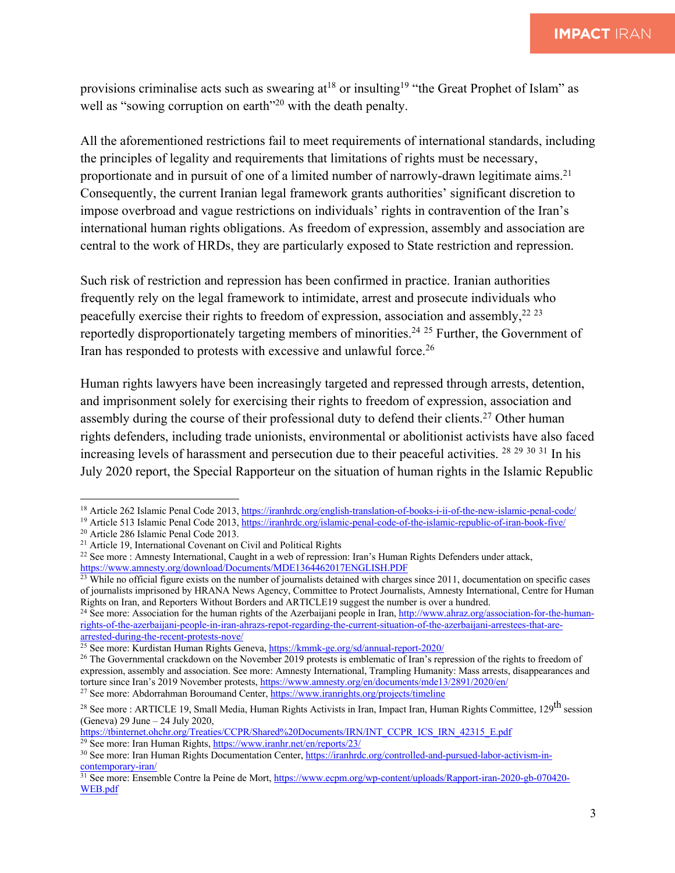provisions criminalise acts such as swearing  $at^{18}$  or insulting<sup>19</sup> "the Great Prophet of Islam" as well as "sowing corruption on earth"<sup>20</sup> with the death penalty.

All the aforementioned restrictions fail to meet requirements of international standards, including the principles of legality and requirements that limitations of rights must be necessary, proportionate and in pursuit of one of a limited number of narrowly-drawn legitimate aims.<sup>21</sup> Consequently, the current Iranian legal framework grants authorities' significant discretion to impose overbroad and vague restrictions on individuals' rights in contravention of the Iran's international human rights obligations. As freedom of expression, assembly and association are central to the work of HRDs, they are particularly exposed to State restriction and repression.

Such risk of restriction and repression has been confirmed in practice. Iranian authorities frequently rely on the legal framework to intimidate, arrest and prosecute individuals who peacefully exercise their rights to freedom of expression, association and assembly,<sup>22 23</sup> reportedly disproportionately targeting members of minorities.<sup>24 25</sup> Further, the Government of Iran has responded to protests with excessive and unlawful force.<sup>26</sup>

Human rights lawyers have been increasingly targeted and repressed through arrests, detention, and imprisonment solely for exercising their rights to freedom of expression, association and assembly during the course of their professional duty to defend their clients.<sup>27</sup> Other human rights defenders, including trade unionists, environmental or abolitionist activists have also faced increasing levels of harassment and persecution due to their peaceful activities. <sup>28 29 30 31</sup> In his July 2020 report, the Special Rapporteur on the situation of human rights in the Islamic Republic

https://tbinternet.ohchr.org/Treaties/CCPR/Shared%20Documents/IRN/INT\_CCPR\_ICS\_IRN\_42315\_E.pdf  $29$  See more: Iran Human Rights, https://www.iranhr.net/en/reports/23/

<sup>&</sup>lt;sup>18</sup> Article 262 Islamic Penal Code 2013, https://iranhrdc.org/english-translation-of-books-i-ii-of-the-new-islamic-penal-code/

<sup>&</sup>lt;sup>19</sup> Article 513 Islamic Penal Code 2013, https://iranhrdc.org/islamic-penal-code-of-the-islamic-republic-of-iran-book-five/

<sup>20</sup> Article 286 Islamic Penal Code 2013.

<sup>21</sup> Article 19, International Covenant on Civil and Political Rights

<sup>22</sup> See more : Amnesty International, Caught in a web of repression: Iran's Human Rights Defenders under attack, https://www.amnesty.org/download/Documents/MDE1364462017ENGLISH.PDF

 $\frac{23}{23}$  While no official figure exists on the number of journalists detained with charges since 2011, documentation on specific cases of journalists imprisoned by HRANA News Agency, Committee to Protect Journalists, Amnesty International, Centre for Human Rights on Iran, and Reporters Without Borders and ARTICLE19 suggest the number is over a hundred.

<sup>&</sup>lt;sup>24</sup> See more: Association for the human rights of the Azerbaijani people in Iran, http://www.ahraz.org/association-for-the-humanrights-of-the-azerbaijani-people-in-iran-ahrazs-repot-regarding-the-current-situation-of-the-azerbaijani-arrestees-that-arearrested-during-the-recent-protests-nove/

<sup>&</sup>lt;sup>25</sup> See more: Kurdistan Human Rights Geneva, https://kmmk-ge.org/sd/annual-report-2020/

<sup>&</sup>lt;sup>26</sup> The Governmental crackdown on the November 2019 protests is emblematic of Iran's repression of the rights to freedom of expression, assembly and association. See more: Amnesty International, Trampling Humanity: Mass arrests, disappearances and torture since Iran's 2019 November protests, https://www.amnesty.org/en/documents/mde13/2891/2020/en/ <sup>27</sup> See more: Abdorrahman Boroumand Center, https://www.iranrights.org/projects/timeline

<sup>&</sup>lt;sup>28</sup> See more : ARTICLE 19, Small Media, Human Rights Activists in Iran, Impact Iran, Human Rights Committee, 129<sup>th</sup> session (Geneva) 29 June – 24 July 2020,

<sup>30</sup> See more: Iran Human Rights Documentation Center, https://iranhrdc.org/controlled-and-pursued-labor-activism-incontemporary-iran/

<sup>&</sup>lt;sup>31</sup> See more: Ensemble Contre la Peine de Mort, https://www.ecpm.org/wp-content/uploads/Rapport-iran-2020-gb-070420-WEB.pdf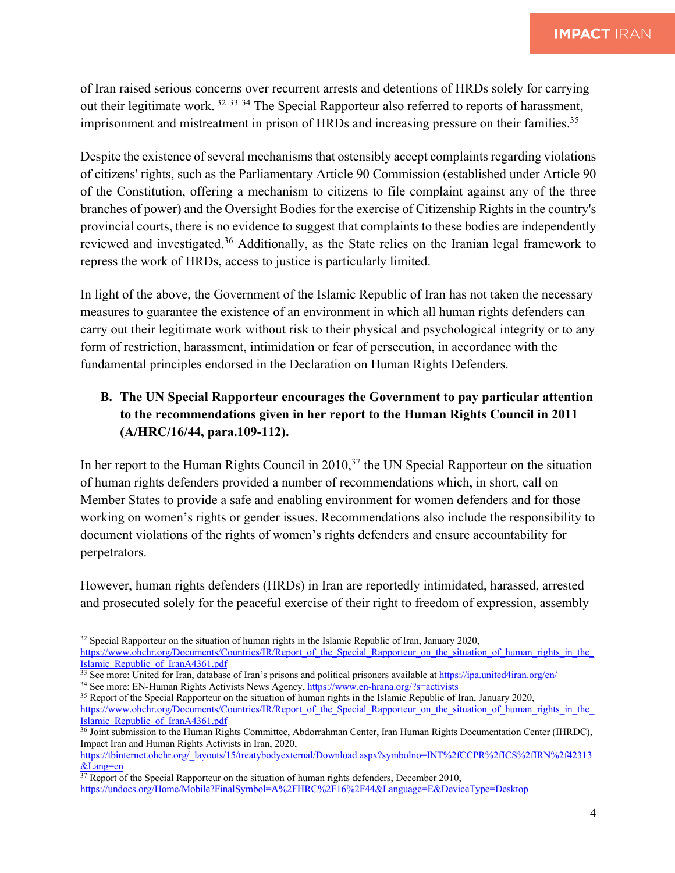of Iran raised serious concerns over recurrent arrests and detentions of HRDs solely for carrying out their legitimate work. <sup>32</sup> <sup>33</sup> <sup>34</sup> The Special Rapporteur also referred to reports of harassment, imprisonment and mistreatment in prison of HRDs and increasing pressure on their families.<sup>35</sup>

Despite the existence of several mechanisms that ostensibly accept complaints regarding violations of citizens' rights, such as the Parliamentary Article 90 Commission (established under Article 90 of the Constitution, offering a mechanism to citizens to file complaint against any of the three branches of power) and the Oversight Bodies for the exercise of Citizenship Rights in the country's provincial courts, there is no evidence to suggest that complaints to these bodies are independently reviewed and investigated.36 Additionally, as the State relies on the Iranian legal framework to repress the work of HRDs, access to justice is particularly limited.

In light of the above, the Government of the Islamic Republic of Iran has not taken the necessary measures to guarantee the existence of an environment in which all human rights defenders can carry out their legitimate work without risk to their physical and psychological integrity or to any form of restriction, harassment, intimidation or fear of persecution, in accordance with the fundamental principles endorsed in the Declaration on Human Rights Defenders.

## **B. The UN Special Rapporteur encourages the Government to pay particular attention to the recommendations given in her report to the Human Rights Council in 2011 (A/HRC/16/44, para.109-112).**

In her report to the Human Rights Council in 2010,<sup>37</sup> the UN Special Rapporteur on the situation of human rights defenders provided a number of recommendations which, in short, call on Member States to provide a safe and enabling environment for women defenders and for those working on women's rights or gender issues. Recommendations also include the responsibility to document violations of the rights of women's rights defenders and ensure accountability for perpetrators.

However, human rights defenders (HRDs) in Iran are reportedly intimidated, harassed, arrested and prosecuted solely for the peaceful exercise of their right to freedom of expression, assembly

<sup>34</sup> See more: EN-Human Rights Activists News Agency, https://www.en-hrana.org/?s=activists

<sup>&</sup>lt;sup>32</sup> Special Rapporteur on the situation of human rights in the Islamic Republic of Iran, January 2020,

https://www.ohchr.org/Documents/Countries/IR/Report of the Special Rapporteur on the situation of human rights in the Islamic\_Republic\_of\_IranA4361.pdf

<sup>&</sup>lt;sup>33</sup> See more: United for Iran, database of Iran's prisons and political prisoners available at https://ipa.united4iran.org/en/

<sup>&</sup>lt;sup>35</sup> Report of the Special Rapporteur on the situation of human rights in the Islamic Republic of Iran, January 2020, https://www.ohchr.org/Documents/Countries/IR/Report\_of\_the\_Special\_Rapporteur\_on\_the\_situation\_of\_human\_rights\_in\_the\_ Islamic\_Republic\_of\_IranA4361.pdf

<sup>&</sup>lt;sup>36</sup> Joint submission to the Human Rights Committee, Abdorrahman Center, Iran Human Rights Documentation Center (IHRDC), Impact Iran and Human Rights Activists in Iran, 2020,

https://tbinternet.ohchr.org/\_layouts/15/treatybodyexternal/Download.aspx?symbolno=INT%2fCCPR%2fICS%2fIRN%2f42313 &Lang=en

 $37$  Report of the Special Rapporteur on the situation of human rights defenders, December 2010, https://undocs.org/Home/Mobile?FinalSymbol=A%2FHRC%2F16%2F44&Language=E&DeviceType=Desktop